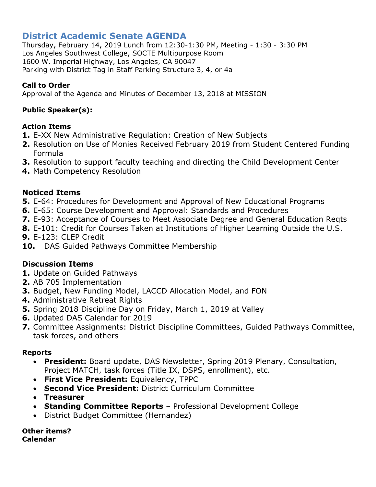# **District Academic Senate AGENDA**

Thursday, February 14, 2019 Lunch from 12:30-1:30 PM, Meeting - 1:30 - 3:30 PM Los Angeles Southwest College, SOCTE Multipurpose Room 1600 W. Imperial Highway, Los Angeles, CA 90047 Parking with District Tag in Staff Parking Structure 3, 4, or 4a

## **Call to Order**

Approval of the Agenda and Minutes of December 13, 2018 at MISSION

## **Public Speaker(s):**

## **Action Items**

- **1.** E-XX New Administrative Regulation: Creation of New Subjects
- **2.** Resolution on Use of Monies Received February 2019 from Student Centered Funding Formula
- **3.** Resolution to support faculty teaching and directing the Child Development Center
- **4.** Math Competency Resolution

## **Noticed Items**

- **5.** E-64: Procedures for Development and Approval of New Educational Programs
- **6.** E-65: Course Development and Approval: Standards and Procedures
- **7.** E-93: Acceptance of Courses to Meet Associate Degree and General Education Reqts
- **8.** E-101: Credit for Courses Taken at Institutions of Higher Learning Outside the U.S.
- **9.** E-123: CLEP Credit
- **10.** DAS Guided Pathways Committee Membership

## **Discussion Items**

- **1.** Update on Guided Pathways
- **2.** AB 705 Implementation
- **3.** Budget, New Funding Model, LACCD Allocation Model, and FON
- **4.** Administrative Retreat Rights
- **5.** Spring 2018 Discipline Day on Friday, March 1, 2019 at Valley
- **6.** Updated DAS Calendar for 2019
- **7.** Committee Assignments: District Discipline Committees, Guided Pathways Committee, task forces, and others

## **Reports**

- **President:** Board update, DAS Newsletter, Spring 2019 Plenary, Consultation, Project MATCH, task forces (Title IX, DSPS, enrollment), etc.
- **First Vice President:** Equivalency, TPPC
- **Second Vice President:** District Curriculum Committee
- **Treasurer**
- **Standing Committee Reports** Professional Development College
- District Budget Committee (Hernandez)

**Other items? Calendar**